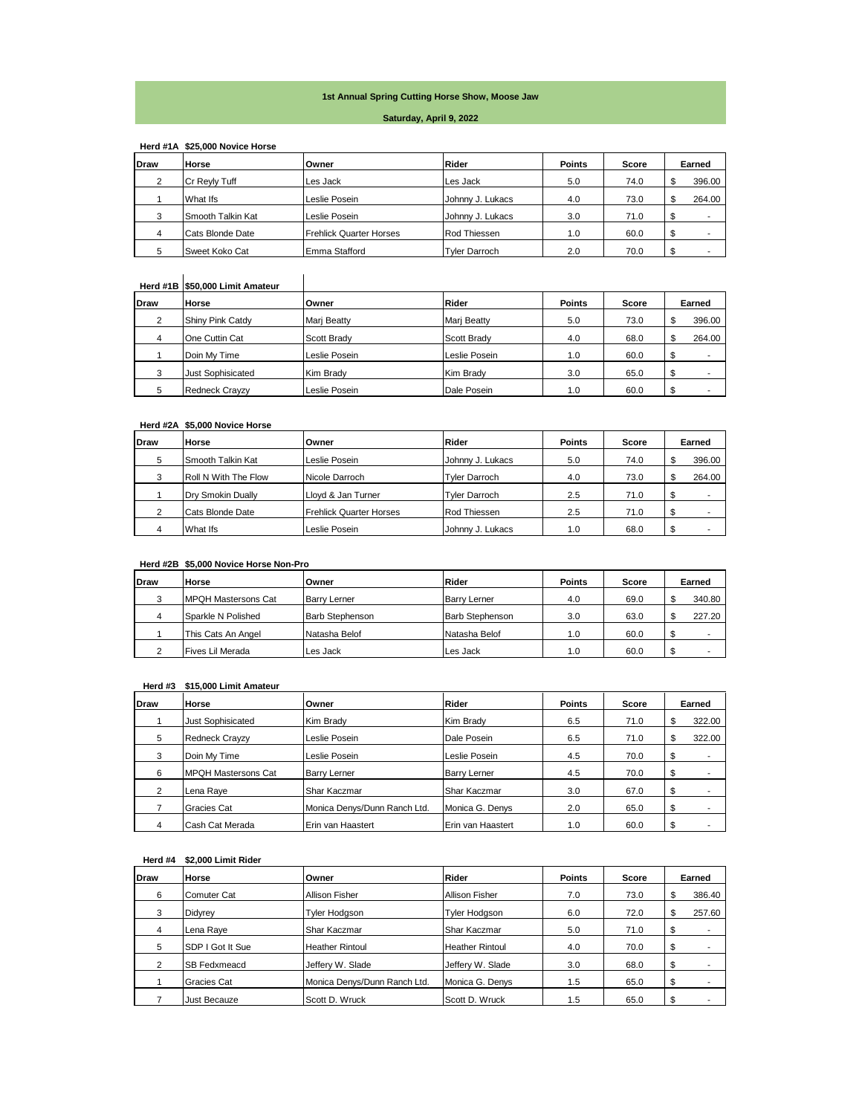# **1st Annual Spring Cutting Horse Show, Moose Jaw**

#### **Saturday, April 9, 2022**

|             | Herd #1A \$25,000 Novice Horse |                                |                      |               |       |        |
|-------------|--------------------------------|--------------------------------|----------------------|---------------|-------|--------|
| <b>Draw</b> | <b>Horse</b>                   | Owner                          | <b>Rider</b>         | <b>Points</b> | Score | Earned |
| 2           | Cr Reyly Tuff                  | Les Jack                       | Les Jack             | 5.0           | 74.0  | 396.00 |
|             | What Ifs                       | Leslie Posein                  | Johnny J. Lukacs     | 4.0           | 73.0  | 264.00 |
| 3           | Smooth Talkin Kat              | Leslie Posein                  | Johnny J. Lukacs     | 3.0           | 71.0  |        |
| 4           | Cats Blonde Date               | <b>Frehlick Quarter Horses</b> | Rod Thiessen         | 1.0           | 60.0  |        |
| 5           | Sweet Koko Cat                 | Emma Stafford                  | <b>Tvler Darroch</b> | 2.0           | 70.0  |        |

# **Herd #1B \$50,000 Limit Amateur**

|      | Herd #1B \$50,000 Limit Amateur |                    |               |               |       |         |
|------|---------------------------------|--------------------|---------------|---------------|-------|---------|
| Draw | Horse                           | Owner              | <b>Rider</b>  | <b>Points</b> | Score | Earned  |
| 2    | Shiny Pink Catdy                | <b>Mari Beatty</b> | Mari Beatty   | 5.0           | 73.0  | 396.00  |
| 4    | One Cuttin Cat                  | Scott Brady        | Scott Brady   | 4.0           | 68.0  | 264.00  |
|      | Doin My Time                    | Leslie Posein      | Leslie Posein | 1.0           | 60.0  |         |
|      | <b>Just Sophisicated</b>        | Kim Brady          | Kim Brady     | 3.0           | 65.0  | \$<br>- |
|      | <b>Redneck Crayzy</b>           | Leslie Posein      | Dale Posein   | 1.0           | 60.0  |         |

## **Herd #2A \$5,000 Novice Horse**

| Draw | Horse                | Owner                          | Rider                | <b>Points</b> | Score | Earned |
|------|----------------------|--------------------------------|----------------------|---------------|-------|--------|
|      | Smooth Talkin Kat    | Leslie Posein                  | Johnny J. Lukacs     | 5.0           | 74.0  | 396.00 |
|      | Roll N With The Flow | Nicole Darroch                 | <b>Tvler Darroch</b> | 4.0           | 73.0  | 264.00 |
|      | Dry Smokin Dually    | Llovd & Jan Turner             | <b>Tvler Darroch</b> | 2.5           | 71.0  | -      |
|      | Cats Blonde Date     | <b>Frehlick Quarter Horses</b> | Rod Thiessen         | 2.5           | 71.0  | -      |
|      | What Ifs             | Leslie Posein                  | Johnny J. Lukacs     | 1.0           | 68.0  | -      |

## **Herd #2B \$5,000 Novice Horse Non-Pro**

| Draw | Horse                       | <b>Owner</b>           | Rider                  | <b>Points</b> | Score |   | Earned |
|------|-----------------------------|------------------------|------------------------|---------------|-------|---|--------|
|      | <b>IMPQH Mastersons Cat</b> | <b>Barry Lerner</b>    | <b>Barry Lerner</b>    | 4.0           | 69.0  |   | 340.80 |
|      | Sparkle N Polished          | <b>Barb Stephenson</b> | <b>Barb Stephenson</b> | 3.0           | 63.0  |   | 227.20 |
|      | This Cats An Angel          | Natasha Belof          | Natasha Belof          | 1.0           | 60.0  |   |        |
|      | Fives Lil Merada            | Les Jack               | Les Jack               | 1.0           | 60.0  | ́ |        |

## **Herd #3 \$15,000 Limit Amateur**

| <b>Draw</b>    | Horse                      | Owner                        | <b>Rider</b>      | <b>Points</b> | Score | Earned |        |
|----------------|----------------------------|------------------------------|-------------------|---------------|-------|--------|--------|
|                | <b>Just Sophisicated</b>   | Kim Brady                    | Kim Brady         | 6.5           | 71.0  | D      | 322.00 |
| 5              | <b>Redneck Crayzy</b>      | Leslie Posein                | Dale Posein       | 6.5           | 71.0  |        | 322.00 |
| 3              | Doin My Time               | Leslie Posein                | Leslie Posein     | 4.5           | 70.0  | \$     | ۰      |
| 6              | <b>MPQH Mastersons Cat</b> | Barry Lerner                 | Barry Lerner      | 4.5           | 70.0  | \$     |        |
| $\overline{2}$ | Lena Rave                  | Shar Kaczmar                 | Shar Kaczmar      | 3.0           | 67.0  | \$     | -      |
|                | Gracies Cat                | Monica Denys/Dunn Ranch Ltd. | Monica G. Denys   | 2.0           | 65.0  | \$     | -      |
| 4              | Cash Cat Merada            | Erin van Haastert            | Erin van Haastert | 1.0           | 60.0  | \$     |        |

# **Herd #4 \$2,000 Limit Rider**

| <b>Draw</b> | Horse               | Owner                        | Rider                  | <b>Points</b> | Score | Earned |        |
|-------------|---------------------|------------------------------|------------------------|---------------|-------|--------|--------|
| 6           | <b>Comuter Cat</b>  | Allison Fisher               | Allison Fisher         | 7.0           | 73.0  | \$     | 386.40 |
| 3           | Didyrey             | Tyler Hodgson                | Tyler Hodason          | 6.0           | 72.0  | \$     | 257.60 |
| 4           | Lena Raye           | Shar Kaczmar                 | Shar Kaczmar           | 5.0           | 71.0  | \$     |        |
| 5           | SDP I Got It Sue    | <b>Heather Rintoul</b>       | <b>Heather Rintoul</b> | 4.0           | 70.0  | \$     |        |
| 2           | <b>SB Fedxmeacd</b> | Jeffery W. Slade             | Jeffery W. Slade       | 3.0           | 68.0  | \$     |        |
|             | Gracies Cat         | Monica Denys/Dunn Ranch Ltd. | Monica G. Denys        | 1.5           | 65.0  | \$     |        |
|             | <b>Just Becauze</b> | Scott D. Wruck               | Scott D. Wruck         | 1.5           | 65.0  | \$     |        |